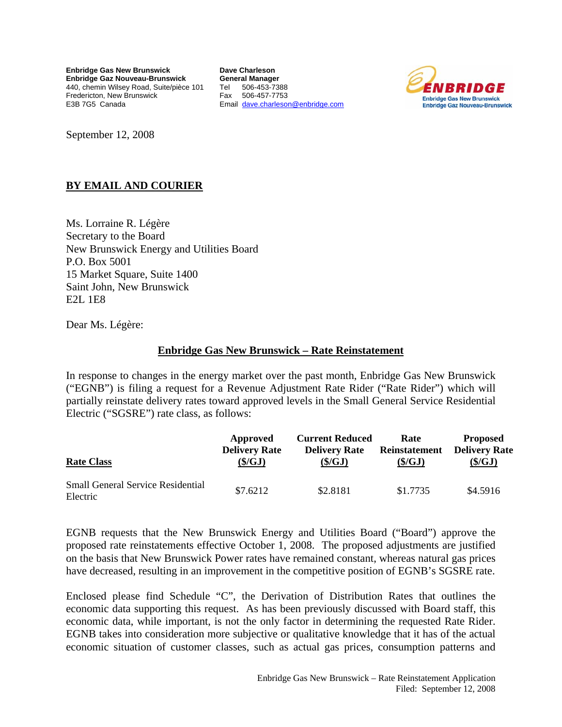**Enbridge Gas New Brunswick Enbridge Gaz Nouveau-Brunswick**  440, chemin Wilsey Road, Suite/pièce 101 Fredericton, New Brunswick E3B 7G5 Canada

**Dave Charleson General Manager**  Tel 506-453-7388 Fax 506-457-7753 Email dave.charleson@enbridge.com



September 12, 2008

# **BY EMAIL AND COURIER**

Ms. Lorraine R. Légère Secretary to the Board New Brunswick Energy and Utilities Board P.O. Box 5001 15 Market Square, Suite 1400 Saint John, New Brunswick E2L 1E8

Dear Ms. Légère:

## **Enbridge Gas New Brunswick – Rate Reinstatement**

In response to changes in the energy market over the past month, Enbridge Gas New Brunswick ("EGNB") is filing a request for a Revenue Adjustment Rate Rider ("Rate Rider") which will partially reinstate delivery rates toward approved levels in the Small General Service Residential Electric ("SGSRE") rate class, as follows:

| <b>Rate Class</b>                                    | Approved             | <b>Current Reduced</b> | Rate                 | <b>Proposed</b>      |
|------------------------------------------------------|----------------------|------------------------|----------------------|----------------------|
|                                                      | <b>Delivery Rate</b> | <b>Delivery Rate</b>   | <b>Reinstatement</b> | <b>Delivery Rate</b> |
|                                                      | $(\frac{S}{GI})$     | $(\$\}/GJ)$            | (S/GJ)               | $(\frac{5}{G}J)$     |
| <b>Small General Service Residential</b><br>Electric | \$7.6212             | \$2.8181               | \$1,7735             | \$4.5916             |

EGNB requests that the New Brunswick Energy and Utilities Board ("Board") approve the proposed rate reinstatements effective October 1, 2008. The proposed adjustments are justified on the basis that New Brunswick Power rates have remained constant, whereas natural gas prices have decreased, resulting in an improvement in the competitive position of EGNB's SGSRE rate.

Enclosed please find Schedule "C", the Derivation of Distribution Rates that outlines the economic data supporting this request. As has been previously discussed with Board staff, this economic data, while important, is not the only factor in determining the requested Rate Rider. EGNB takes into consideration more subjective or qualitative knowledge that it has of the actual economic situation of customer classes, such as actual gas prices, consumption patterns and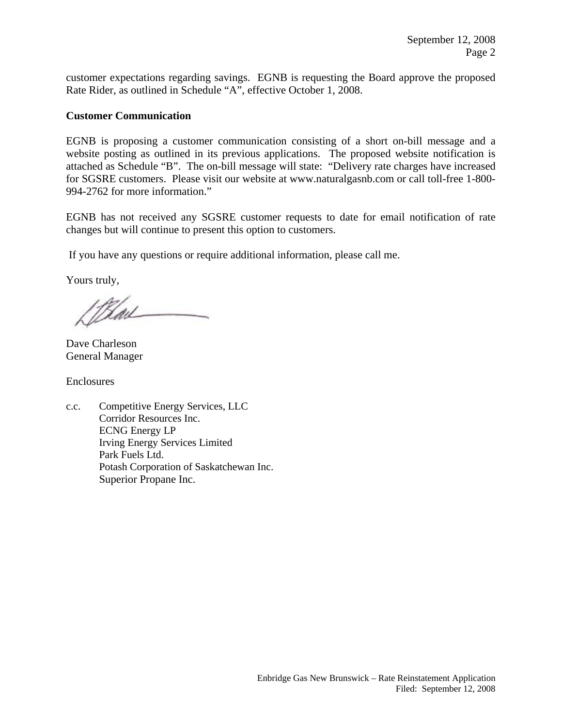customer expectations regarding savings. EGNB is requesting the Board approve the proposed Rate Rider, as outlined in Schedule "A", effective October 1, 2008.

## **Customer Communication**

EGNB is proposing a customer communication consisting of a short on-bill message and a website posting as outlined in its previous applications. The proposed website notification is attached as Schedule "B". The on-bill message will state: "Delivery rate charges have increased for SGSRE customers. Please visit our website at www.naturalgasnb.com or call toll-free 1-800- 994-2762 for more information."

EGNB has not received any SGSRE customer requests to date for email notification of rate changes but will continue to present this option to customers.

If you have any questions or require additional information, please call me.

Yours truly,

19tail

Dave Charleson General Manager

Enclosures

c.c. Competitive Energy Services, LLC Corridor Resources Inc. ECNG Energy LP Irving Energy Services Limited Park Fuels Ltd. Potash Corporation of Saskatchewan Inc. Superior Propane Inc.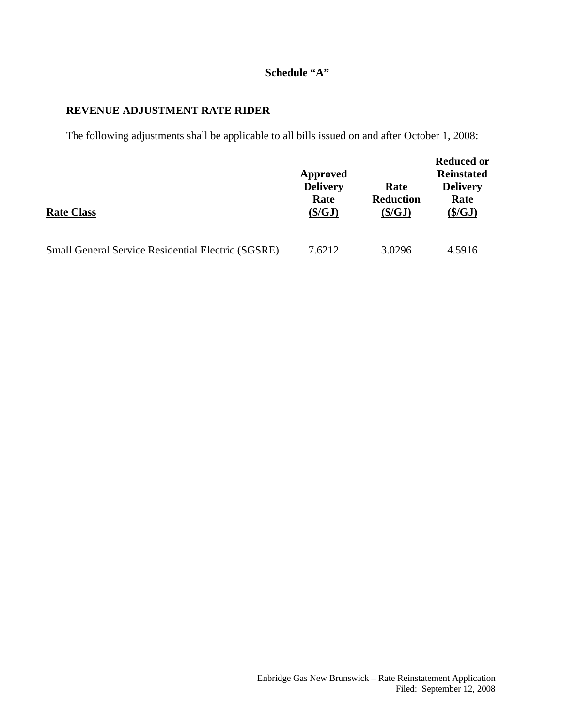# **Schedule "A"**

## **REVENUE ADJUSTMENT RATE RIDER**

The following adjustments shall be applicable to all bills issued on and after October 1, 2008:

|                                                           | Approved<br><b>Delivery</b><br>Rate |                               | <b>Reduced or</b><br><b>Reinstated</b><br><b>Delivery</b><br>Rate |  |
|-----------------------------------------------------------|-------------------------------------|-------------------------------|-------------------------------------------------------------------|--|
| <b>Rate Class</b>                                         | $(\frac{C}{2})$                     | <b>Reduction</b><br>$(\$/GJ)$ | $(\frac{C}{2})$                                                   |  |
| <b>Small General Service Residential Electric (SGSRE)</b> | 7.6212                              | 3.0296                        | 4.5916                                                            |  |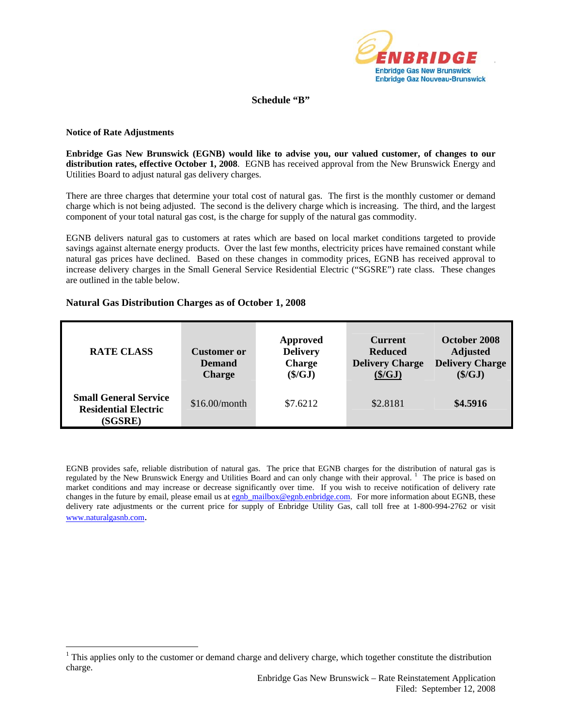

### **Schedule "B"**

#### **Notice of Rate Adjustments**

 $\overline{a}$ 

**Enbridge Gas New Brunswick (EGNB) would like to advise you, our valued customer, of changes to our distribution rates, effective October 1, 2008**. EGNB has received approval from the New Brunswick Energy and Utilities Board to adjust natural gas delivery charges.

There are three charges that determine your total cost of natural gas. The first is the monthly customer or demand charge which is not being adjusted. The second is the delivery charge which is increasing. The third, and the largest component of your total natural gas cost, is the charge for supply of the natural gas commodity.

EGNB delivers natural gas to customers at rates which are based on local market conditions targeted to provide savings against alternate energy products. Over the last few months, electricity prices have remained constant while natural gas prices have declined. Based on these changes in commodity prices, EGNB has received approval to increase delivery charges in the Small General Service Residential Electric ("SGSRE") rate class. These changes are outlined in the table below.

#### **Natural Gas Distribution Charges as of October 1, 2008**

| <b>RATE CLASS</b>                                                      | Customer or<br><b>Demand</b><br><b>Charge</b> | Approved<br><b>Delivery</b><br><b>Charge</b><br>$(\frac{\xi}{GJ})$ | <b>Current</b><br><b>Reduced</b><br><b>Delivery Charge</b><br>(\$/GJ) | October 2008<br><b>Adjusted</b><br><b>Delivery Charge</b><br>(\$/GJ) |
|------------------------------------------------------------------------|-----------------------------------------------|--------------------------------------------------------------------|-----------------------------------------------------------------------|----------------------------------------------------------------------|
| <b>Small General Service</b><br><b>Residential Electric</b><br>(SGSRE) | \$16.00/month                                 | \$7.6212                                                           | \$2,8181                                                              | \$4.5916                                                             |

EGNB provides safe, reliable distribution of natural gas. The price that EGNB charges for the distribution of natural gas is regulated by the New Brunswick Energy and Utilities Board and can only change with their approval.<sup>1</sup> The price is based on market conditions and may increase or decrease significantly over time. If you wish to receive notification of delivery rate changes in the future by email, please email us at egnb\_mailbox@egnb.enbridge.com. For more information about EGNB, these delivery rate adjustments or the current price for supply of Enbridge Utility Gas, call toll free at 1-800-994-2762 or visit www.naturalgasnb.com.

 $1$  This applies only to the customer or demand charge and delivery charge, which together constitute the distribution charge.